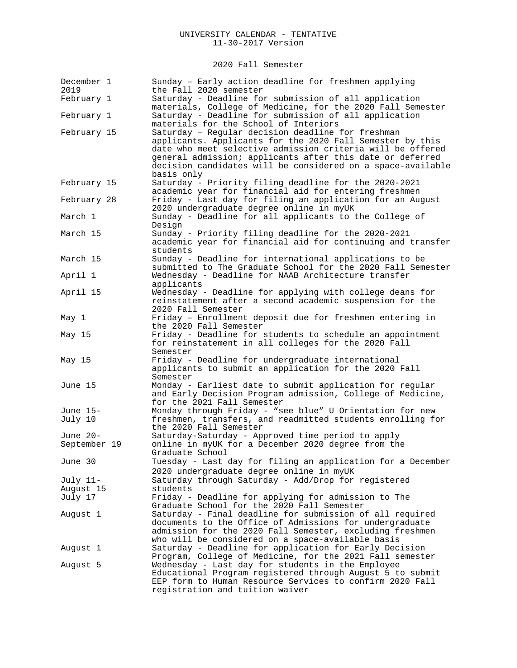### 2020 Fall Semester

| December 1<br>2019       | Sunday - Early action deadline for freshmen applying<br>the Fall 2020 semester                                                                                                                                                                                                                                         |
|--------------------------|------------------------------------------------------------------------------------------------------------------------------------------------------------------------------------------------------------------------------------------------------------------------------------------------------------------------|
| February 1               | Saturday - Deadline for submission of all application<br>materials, College of Medicine, for the 2020 Fall Semester                                                                                                                                                                                                    |
| February 1               | Saturday - Deadline for submission of all application<br>materials for the School of Interiors                                                                                                                                                                                                                         |
| February 15              | Saturday - Regular decision deadline for freshman<br>applicants. Applicants for the 2020 Fall Semester by this<br>date who meet selective admission criteria will be offered<br>general admission; applicants after this date or deferred<br>decision candidates will be considered on a space-available<br>basis only |
| February 15              | Saturday - Priority filing deadline for the 2020-2021<br>academic year for financial aid for entering freshmen                                                                                                                                                                                                         |
| February 28              | Friday - Last day for filing an application for an August<br>2020 undergraduate degree online in myUK                                                                                                                                                                                                                  |
| March 1                  | Sunday - Deadline for all applicants to the College of<br>Design                                                                                                                                                                                                                                                       |
| March 15                 | Sunday - Priority filing deadline for the 2020-2021<br>academic year for financial aid for continuing and transfer<br>students                                                                                                                                                                                         |
| March 15                 | Sunday - Deadline for international applications to be<br>submitted to The Graduate School for the 2020 Fall Semester                                                                                                                                                                                                  |
| April 1                  | Wednesday - Deadline for NAAB Architecture transfer<br>applicants                                                                                                                                                                                                                                                      |
| April 15                 | Wednesday - Deadline for applying with college deans for<br>reinstatement after a second academic suspension for the<br>2020 Fall Semester                                                                                                                                                                             |
| May 1                    | Friday - Enrollment deposit due for freshmen entering in<br>the 2020 Fall Semester                                                                                                                                                                                                                                     |
| May 15                   | Friday - Deadline for students to schedule an appointment<br>for reinstatement in all colleges for the 2020 Fall<br>Semester                                                                                                                                                                                           |
| May 15                   | Friday - Deadline for undergraduate international<br>applicants to submit an application for the 2020 Fall<br>Semester                                                                                                                                                                                                 |
| June 15                  | Monday - Earliest date to submit application for regular<br>and Early Decision Program admission, College of Medicine,<br>for the 2021 Fall Semester                                                                                                                                                                   |
| June 15-<br>July 10      | Monday through Friday - "see blue" U Orientation for new<br>freshmen, transfers, and readmitted students enrolling for<br>the 2020 Fall Semester                                                                                                                                                                       |
| June 20-<br>September 19 | Saturday-Saturday - Approved time period to apply<br>online in myUK for a December 2020 degree from the<br>Graduate School                                                                                                                                                                                             |
| June 30                  | Tuesday - Last day for filing an application for a December<br>2020 undergraduate degree online in myUK                                                                                                                                                                                                                |
| July 11-                 | Saturday through Saturday - Add/Drop for registered                                                                                                                                                                                                                                                                    |
| August 15                | students                                                                                                                                                                                                                                                                                                               |
| July 17                  | Friday - Deadline for applying for admission to The<br>Graduate School for the 2020 Fall Semester                                                                                                                                                                                                                      |
| August 1                 | Saturday - Final deadline for submission of all required<br>documents to the Office of Admissions for undergraduate<br>admission for the 2020 Fall Semester, excluding freshmen<br>who will be considered on a space-available basis                                                                                   |
| August 1                 | Saturday - Deadline for application for Early Decision<br>Program, College of Medicine, for the 2021 Fall semester                                                                                                                                                                                                     |
| August 5                 | Wednesday - Last day for students in the Employee<br>Educational Program registered through August 5 to submit<br>EEP form to Human Resource Services to confirm 2020 Fall<br>registration and tuition waiver                                                                                                          |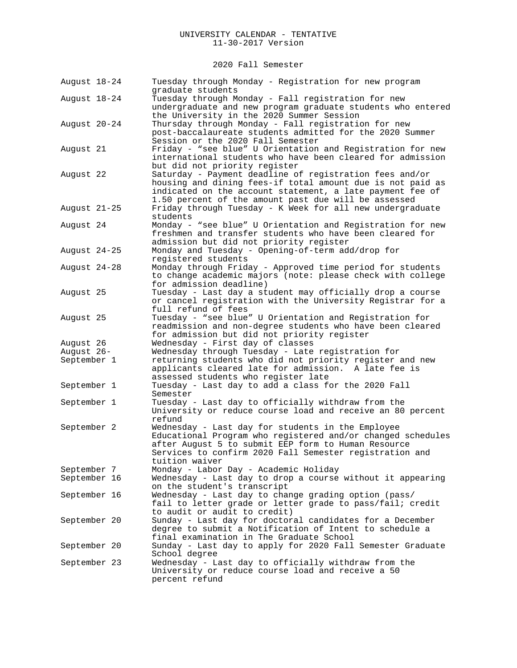2020 Fall Semester

| August 18-24 | Tuesday through Monday - Registration for new program<br>graduate students                                                                                                                                                                           |
|--------------|------------------------------------------------------------------------------------------------------------------------------------------------------------------------------------------------------------------------------------------------------|
| August 18-24 | Tuesday through Monday - Fall registration for new<br>undergraduate and new program graduate students who entered<br>the University in the 2020 Summer Session                                                                                       |
| August 20-24 | Thursday through Monday - Fall registration for new<br>post-baccalaureate students admitted for the 2020 Summer<br>Session or the 2020 Fall Semester                                                                                                 |
| August 21    | Friday - "see blue" U Orientation and Registration for new<br>international students who have been cleared for admission<br>but did not priority register                                                                                            |
| August 22    | Saturday - Payment deadline of registration fees and/or<br>housing and dining fees-if total amount due is not paid as<br>indicated on the account statement, a late payment fee of<br>1.50 percent of the amount past due will be assessed           |
| August 21-25 | Friday through Tuesday - K Week for all new undergraduate<br>students                                                                                                                                                                                |
| August 24    | Monday - "see blue" U Orientation and Registration for new<br>freshmen and transfer students who have been cleared for<br>admission but did not priority register                                                                                    |
| August 24-25 | Monday and Tuesday - Opening-of-term add/drop for<br>registered students                                                                                                                                                                             |
| August 24-28 | Monday through Friday - Approved time period for students<br>to change academic majors (note: please check with college<br>for admission deadline)                                                                                                   |
| August 25    | Tuesday - Last day a student may officially drop a course<br>or cancel registration with the University Registrar for a<br>full refund of fees                                                                                                       |
| August 25    | Tuesday - "see blue" U Orientation and Registration for<br>readmission and non-degree students who have been cleared<br>for admission but did not priority register                                                                                  |
| August 26    | Wednesday - First day of classes                                                                                                                                                                                                                     |
| August 26-   | Wednesday through Tuesday - Late registration for                                                                                                                                                                                                    |
| September 1  | returning students who did not priority register and new<br>applicants cleared late for admission. A late fee is<br>assessed students who register late                                                                                              |
| September 1  | Tuesday - Last day to add a class for the 2020 Fall<br>Semester                                                                                                                                                                                      |
| September 1  | Tuesday - Last day to officially withdraw from the<br>University or reduce course load and receive an 80 percent<br>refund                                                                                                                           |
| September 2  | Wednesday - Last day for students in the Employee<br>Educational Program who registered and/or changed schedules<br>after August 5 to submit EEP form to Human Resource<br>Services to confirm 2020 Fall Semester registration and<br>tuition waiver |
| September 7  | Monday - Labor Day - Academic Holiday                                                                                                                                                                                                                |
| September 16 | Wednesday - Last day to drop a course without it appearing<br>on the student's transcript                                                                                                                                                            |
| September 16 | Wednesday - Last day to change grading option (pass/<br>fail to letter grade or letter grade to pass/fail; credit<br>to audit or audit to credit)                                                                                                    |
| September 20 | Sunday - Last day for doctoral candidates for a December<br>degree to submit a Notification of Intent to schedule a<br>final examination in The Graduate School                                                                                      |
| September 20 | Sunday - Last day to apply for 2020 Fall Semester Graduate<br>School degree                                                                                                                                                                          |
| September 23 | Wednesday - Last day to officially withdraw from the<br>University or reduce course load and receive a 50<br>percent refund                                                                                                                          |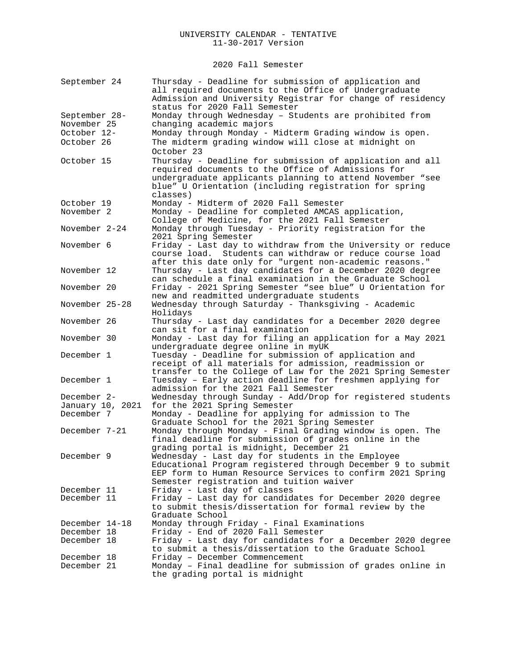2020 Fall Semester

| September 24                 | Thursday - Deadline for submission of application and<br>all required documents to the Office of Undergraduate<br>Admission and University Registrar for change of residency<br>status for 2020 Fall Semester                          |
|------------------------------|----------------------------------------------------------------------------------------------------------------------------------------------------------------------------------------------------------------------------------------|
|                              |                                                                                                                                                                                                                                        |
| September 28-<br>November 25 | Monday through Wednesday - Students are prohibited from                                                                                                                                                                                |
|                              | changing academic majors                                                                                                                                                                                                               |
| October 12-                  | Monday through Monday - Midterm Grading window is open.                                                                                                                                                                                |
| October 26                   | The midterm grading window will close at midnight on                                                                                                                                                                                   |
|                              | October 23                                                                                                                                                                                                                             |
| October 15                   | Thursday - Deadline for submission of application and all<br>required documents to the Office of Admissions for<br>undergraduate applicants planning to attend November "see<br>blue" U Orientation (including registration for spring |
|                              | classes)                                                                                                                                                                                                                               |
| October 19                   | Monday - Midterm of 2020 Fall Semester                                                                                                                                                                                                 |
| November 2                   | Monday - Deadline for completed AMCAS application,                                                                                                                                                                                     |
|                              | College of Medicine, for the 2021 Fall Semester                                                                                                                                                                                        |
| November 2-24                | Monday through Tuesday - Priority registration for the<br>2021 Spring Semester                                                                                                                                                         |
| November 6                   | Friday - Last day to withdraw from the University or reduce                                                                                                                                                                            |
|                              | course load. Students can withdraw or reduce course load                                                                                                                                                                               |
|                              | after this date only for "urgent non-academic reasons."                                                                                                                                                                                |
| November 12                  | Thursday - Last day candidates for a December 2020 degree                                                                                                                                                                              |
|                              | can schedule a final examination in the Graduate School                                                                                                                                                                                |
| November 20                  | Friday - 2021 Spring Semester "see blue" U Orientation for                                                                                                                                                                             |
|                              | new and readmitted undergraduate students                                                                                                                                                                                              |
| November 25-28               | Wednesday through Saturday - Thanksgiving - Academic                                                                                                                                                                                   |
|                              | Holidays                                                                                                                                                                                                                               |
| November 26                  | Thursday - Last day candidates for a December 2020 degree                                                                                                                                                                              |
|                              | can sit for a final examination                                                                                                                                                                                                        |
| November 30                  | Monday - Last day for filing an application for a May 2021                                                                                                                                                                             |
|                              | undergraduate degree online in myUK                                                                                                                                                                                                    |
| December 1                   | Tuesday - Deadline for submission of application and                                                                                                                                                                                   |
|                              | receipt of all materials for admission, readmission or                                                                                                                                                                                 |
|                              | transfer to the College of Law for the 2021 Spring Semester                                                                                                                                                                            |
| December 1                   | Tuesday - Early action deadline for freshmen applying for                                                                                                                                                                              |
|                              | admission for the 2021 Fall Semester                                                                                                                                                                                                   |
| December 2-                  | Wednesday through Sunday - Add/Drop for registered students                                                                                                                                                                            |
| January 10, 2021             | for the 2021 Spring Semester                                                                                                                                                                                                           |
| December 7                   | Monday - Deadline for applying for admission to The                                                                                                                                                                                    |
|                              | Graduate School for the 2021 Spring Semester                                                                                                                                                                                           |
| December 7-21                | Monday through Monday - Final Grading window is open. The                                                                                                                                                                              |
|                              | final deadline for submission of grades online in the                                                                                                                                                                                  |
|                              | grading portal is midnight, December 21                                                                                                                                                                                                |
| December 9                   | Wednesday - Last day for students in the Employee                                                                                                                                                                                      |
|                              | Educational Program registered through December 9 to submit                                                                                                                                                                            |
|                              | EEP form to Human Resource Services to confirm 2021 Spring                                                                                                                                                                             |
|                              | Semester registration and tuition waiver                                                                                                                                                                                               |
| December 11                  | Friday - Last day of classes                                                                                                                                                                                                           |
| December 11                  | Friday - Last day for candidates for December 2020 degree                                                                                                                                                                              |
|                              | to submit thesis/dissertation for formal review by the                                                                                                                                                                                 |
|                              | Graduate School                                                                                                                                                                                                                        |
| December 14-18               | Monday through Friday - Final Examinations                                                                                                                                                                                             |
| December 18                  | Friday - End of 2020 Fall Semester                                                                                                                                                                                                     |
| December 18                  | Friday - Last day for candidates for a December 2020 degree                                                                                                                                                                            |
|                              | to submit a thesis/dissertation to the Graduate School                                                                                                                                                                                 |
| December 18                  | Friday - December Commencement                                                                                                                                                                                                         |
| December 21                  | Monday - Final deadline for submission of grades online in                                                                                                                                                                             |
|                              | the grading portal is midnight                                                                                                                                                                                                         |
|                              |                                                                                                                                                                                                                                        |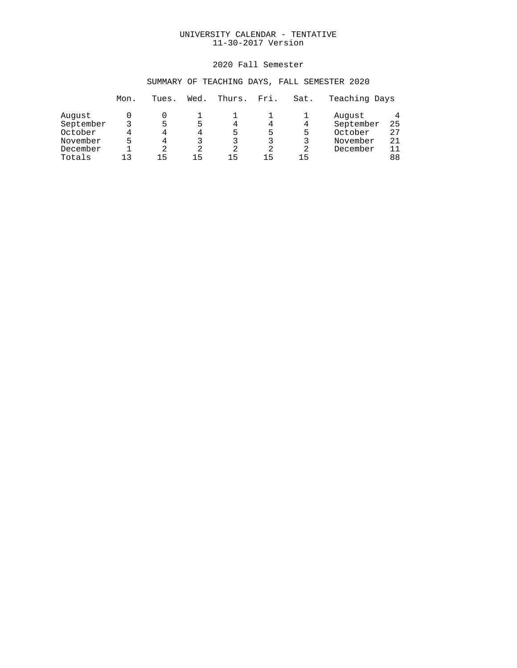### 2020 Fall Semester

## SUMMARY OF TEACHING DAYS, FALL SEMESTER 2020

|           | Mon. | Tues. | Wed. | Thurs. | Fri. | Sat. | Teaching Days |    |
|-----------|------|-------|------|--------|------|------|---------------|----|
| August    |      |       |      |        |      |      | August        | 4  |
| September |      | г,    | 5    | 4      |      | 4    | September     | 25 |
| October   |      | 4     | 4    | 5      | 5    | 5    | October       | 27 |
| November  |      | Δ     |      |        | 3    | 3    | November      | 21 |
| December  |      | 2     | 2    | 2      | 2    | 2    | December      | 11 |
| Totals    | 1 ว  | 1 5   | 15   | 15     | 15   | 15   |               | 88 |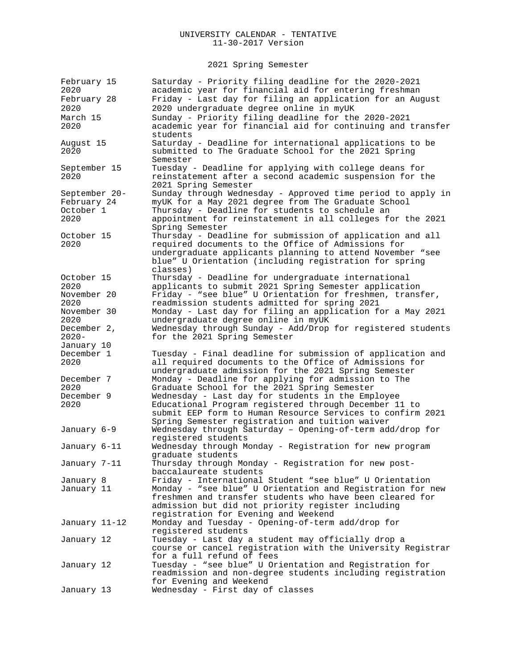2021 Spring Semester

| February 15<br>2020<br>February 28                | Saturday - Priority filing deadline for the 2020-2021<br>academic year for financial aid for entering freshman<br>Friday - Last day for filing an application for an August                                                                                           |
|---------------------------------------------------|-----------------------------------------------------------------------------------------------------------------------------------------------------------------------------------------------------------------------------------------------------------------------|
| 2020<br>March 15<br>2020                          | 2020 undergraduate degree online in myUK<br>Sunday - Priority filing deadline for the 2020-2021<br>academic year for financial aid for continuing and transfer<br>students                                                                                            |
| August 15<br>2020                                 | Saturday - Deadline for international applications to be<br>submitted to The Graduate School for the 2021 Spring<br>Semester                                                                                                                                          |
| September 15<br>2020                              | Tuesday - Deadline for applying with college deans for<br>reinstatement after a second academic suspension for the<br>2021 Spring Semester                                                                                                                            |
| September 20-<br>February 24<br>October 1<br>2020 | Sunday through Wednesday - Approved time period to apply in<br>myUK for a May 2021 degree from The Graduate School<br>Thursday - Deadline for students to schedule an<br>appointment for reinstatement in all colleges for the 2021                                   |
| October 15<br>2020                                | Spring Semester<br>Thursday - Deadline for submission of application and all<br>required documents to the Office of Admissions for<br>undergraduate applicants planning to attend November "see<br>blue" U Orientation (including registration for spring<br>classes) |
| October 15<br>2020<br>November 20<br>2020         | Thursday - Deadline for undergraduate international<br>applicants to submit 2021 Spring Semester application<br>Friday - "see blue" U Orientation for freshmen, transfer,<br>readmission students admitted for spring 2021                                            |
| November 30<br>2020<br>December 2,<br>$2020 -$    | Monday - Last day for filing an application for a May 2021<br>undergraduate degree online in myUK<br>Wednesday through Sunday - Add/Drop for registered students<br>for the 2021 Spring Semester                                                                      |
| January 10<br>December 1<br>2020                  | Tuesday - Final deadline for submission of application and<br>all required documents to the Office of Admissions for                                                                                                                                                  |
| December 7<br>2020                                | undergraduate admission for the 2021 Spring Semester<br>Monday - Deadline for applying for admission to The<br>Graduate School for the 2021 Spring Semester                                                                                                           |
| December 9<br>2020                                | Wednesday - Last day for students in the Employee<br>Educational Program registered through December 11 to<br>submit EEP form to Human Resource Services to confirm 2021<br>Spring Semester registration and tuition waiver                                           |
| January 6-9                                       | Wednesday through Saturday - Opening-of-term add/drop for<br>registered students                                                                                                                                                                                      |
| January 6-11                                      | Wednesday through Monday - Registration for new program<br>graduate students                                                                                                                                                                                          |
| January 7-11                                      | Thursday through Monday - Registration for new post-<br>baccalaureate students                                                                                                                                                                                        |
| January 8                                         | Friday - International Student "see blue" U Orientation                                                                                                                                                                                                               |
| January 11                                        | Monday - "see blue" U Orientation and Registration for new<br>freshmen and transfer students who have been cleared for<br>admission but did not priority register including<br>registration for Evening and Weekend                                                   |
| January 11-12                                     | Monday and Tuesday - Opening-of-term add/drop for<br>registered students                                                                                                                                                                                              |
| January 12                                        | Tuesday - Last day a student may officially drop a<br>course or cancel registration with the University Registrar<br>for a full refund of fees                                                                                                                        |
| January 12                                        | Tuesday - "see blue" U Orientation and Registration for<br>readmission and non-degree students including registration<br>for Evening and Weekend                                                                                                                      |
| January 13                                        | Wednesday - First day of classes                                                                                                                                                                                                                                      |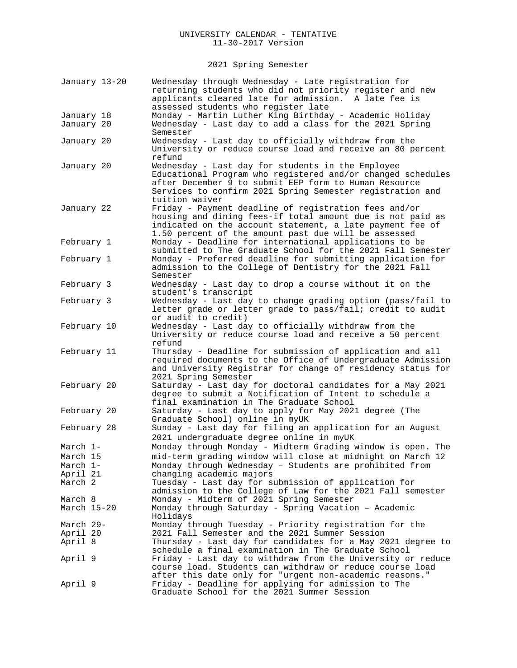2021 Spring Semester

| January 13-20 | Wednesday through Wednesday - Late registration for<br>returning students who did not priority register and new<br>applicants cleared late for admission. A late fee is<br>assessed students who register late                                           |
|---------------|----------------------------------------------------------------------------------------------------------------------------------------------------------------------------------------------------------------------------------------------------------|
| January 18    | Monday - Martin Luther King Birthday - Academic Holiday                                                                                                                                                                                                  |
| January 20    | Wednesday - Last day to add a class for the 2021 Spring<br>Semester                                                                                                                                                                                      |
| January 20    | Wednesday - Last day to officially withdraw from the<br>University or reduce course load and receive an 80 percent<br>refund                                                                                                                             |
| January 20    | Wednesday - Last day for students in the Employee<br>Educational Program who registered and/or changed schedules<br>after December 9 to submit EEP form to Human Resource<br>Services to confirm 2021 Spring Semester registration and<br>tuition waiver |
| January 22    | Friday - Payment deadline of registration fees and/or<br>housing and dining fees-if total amount due is not paid as<br>indicated on the account statement, a late payment fee of<br>1.50 percent of the amount past due will be assessed                 |
| February 1    | Monday - Deadline for international applications to be<br>submitted to The Graduate School for the 2021 Fall Semester                                                                                                                                    |
| February 1    | Monday - Preferred deadline for submitting application for<br>admission to the College of Dentistry for the 2021 Fall<br>Semester                                                                                                                        |
| February 3    | Wednesday - Last day to drop a course without it on the<br>student's transcript                                                                                                                                                                          |
| February 3    | Wednesday - Last day to change grading option (pass/fail to<br>letter grade or letter grade to pass/fail; credit to audit<br>or audit to credit)                                                                                                         |
| February 10   | Wednesday - Last day to officially withdraw from the<br>University or reduce course load and receive a 50 percent<br>refund                                                                                                                              |
| February 11   | Thursday - Deadline for submission of application and all<br>required documents to the Office of Undergraduate Admission<br>and University Registrar for change of residency status for<br>2021 Spring Semester                                          |
| February 20   | Saturday - Last day for doctoral candidates for a May 2021<br>degree to submit a Notification of Intent to schedule a<br>final examination in The Graduate School                                                                                        |
| February 20   | Saturday - Last day to apply for May 2021 degree (The<br>Graduate School) online in myUK                                                                                                                                                                 |
| February 28   | Sunday - Last day for filing an application for an August<br>2021 undergraduate degree online in myUK                                                                                                                                                    |
| March 1-      | Monday through Monday - Midterm Grading window is open. The                                                                                                                                                                                              |
| March 15      | mid-term grading window will close at midnight on March 12                                                                                                                                                                                               |
| March 1-      | Monday through Wednesday - Students are prohibited from                                                                                                                                                                                                  |
| April 21      | changing academic majors                                                                                                                                                                                                                                 |
| March 2       | Tuesday - Last day for submission of application for                                                                                                                                                                                                     |
|               | admission to the College of Law for the 2021 Fall semester                                                                                                                                                                                               |
| March 8       | Monday - Midterm of 2021 Spring Semester                                                                                                                                                                                                                 |
| March 15-20   | Monday through Saturday - Spring Vacation - Academic<br>Holidays                                                                                                                                                                                         |
| March 29-     | Monday through Tuesday - Priority registration for the                                                                                                                                                                                                   |
| April 20      | 2021 Fall Semester and the 2021 Summer Session                                                                                                                                                                                                           |
| April 8       | Thursday - Last day for candidates for a May 2021 degree to<br>schedule a final examination in The Graduate School                                                                                                                                       |
| April 9       | Friday - Last day to withdraw from the University or reduce<br>course load. Students can withdraw or reduce course load<br>after this date only for "urgent non-academic reasons."                                                                       |
| April 9       | Friday - Deadline for applying for admission to The<br>Graduate School for the 2021 Summer Session                                                                                                                                                       |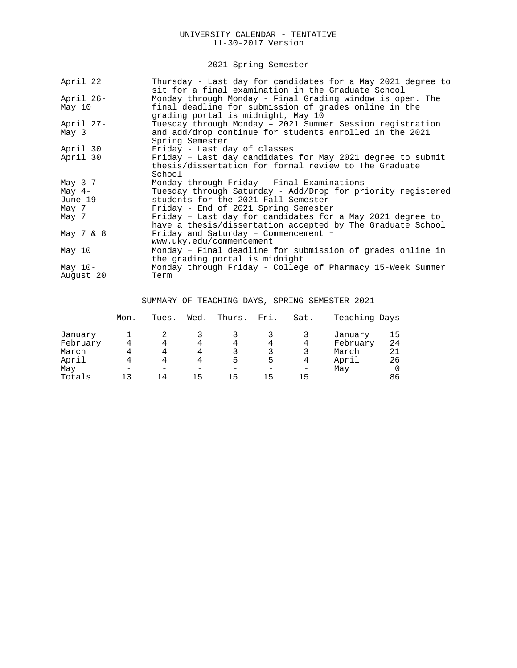2021 Spring Semester

| April 22     | Thursday - Last day for candidates for a May 2021 degree to<br>sit for a final examination in the Graduate School             |
|--------------|-------------------------------------------------------------------------------------------------------------------------------|
| April 26-    | Monday through Monday - Final Grading window is open. The                                                                     |
| May 10       | final deadline for submission of grades online in the<br>grading portal is midnight, May 10                                   |
| April 27-    | Tuesday through Monday - 2021 Summer Session registration                                                                     |
| May 3        | and add/drop continue for students enrolled in the 2021<br>Spring Semester                                                    |
| April 30     | Friday - Last day of classes                                                                                                  |
| April 30     | Friday - Last day candidates for May 2021 degree to submit<br>thesis/dissertation for formal review to The Graduate<br>School |
| May $3-7$    | Monday through Friday - Final Examinations                                                                                    |
| May $4-$     | Tuesday through Saturday - Add/Drop for priority registered                                                                   |
| June 19      | students for the 2021 Fall Semester                                                                                           |
| May 7        | Friday - End of 2021 Spring Semester                                                                                          |
| May 7        | Friday - Last day for candidates for a May 2021 degree to<br>have a thesis/dissertation accepted by The Graduate School       |
| May $7 \& 8$ | Friday and Saturday - Commencement -<br>www.uky.edu/commencement                                                              |
| May 10       | Monday - Final deadline for submission of grades online in<br>the grading portal is midnight                                  |
| May $10-$    | Monday through Friday - College of Pharmacy 15-Week Summer                                                                    |
| August 20    | Term                                                                                                                          |

SUMMARY OF TEACHING DAYS, SPRING SEMESTER 2021

|              | Mon. | Tues. | Wed. | Thurs. | Fri. | Sat. | Teaching Days |                |
|--------------|------|-------|------|--------|------|------|---------------|----------------|
| January      |      |       |      |        |      |      | January       | 15             |
| February     |      | 4     | 4    | 4      | 4    | 4    | February      | 24             |
| March        |      | 4     | 4    |        | 3    |      | March         | 21             |
| April<br>May |      |       | 4    | 5<br>- | 5    | 4    | April<br>May  | 26<br>$\Omega$ |
| Totals       | 1 ว  | 14    | 15   | 15     | 15   | 15   |               | 86             |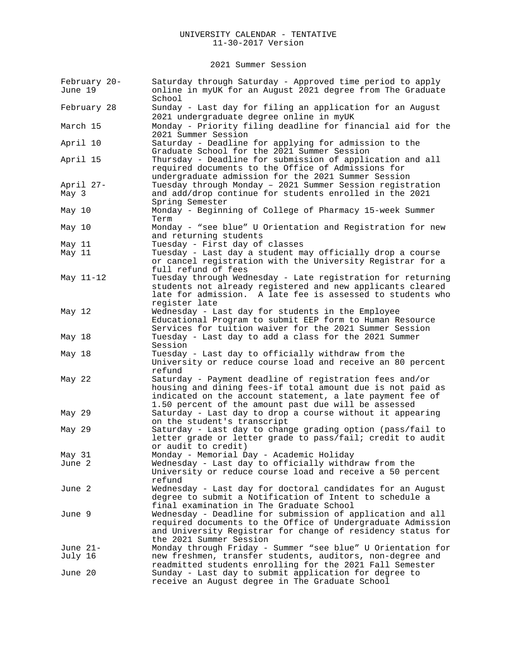2021 Summer Session

| February 20-<br>June 19 | Saturday through Saturday - Approved time period to apply<br>online in myUK for an August 2021 degree from The Graduate<br>School                                                        |
|-------------------------|------------------------------------------------------------------------------------------------------------------------------------------------------------------------------------------|
| February 28             | Sunday - Last day for filing an application for an August<br>2021 undergraduate degree online in myUK                                                                                    |
| March 15                | Monday - Priority filing deadline for financial aid for the<br>2021 Summer Session                                                                                                       |
| April 10                | Saturday - Deadline for applying for admission to the<br>Graduate School for the 2021 Summer Session                                                                                     |
| April 15                | Thursday - Deadline for submission of application and all<br>required documents to the Office of Admissions for<br>undergraduate admission for the 2021 Summer Session                   |
| April 27-<br>May 3      | Tuesday through Monday - 2021 Summer Session registration<br>and add/drop continue for students enrolled in the 2021<br>Spring Semester                                                  |
| May 10                  | Monday - Beginning of College of Pharmacy 15-week Summer<br>Term                                                                                                                         |
| May 10                  | Monday - "see blue" U Orientation and Registration for new<br>and returning students                                                                                                     |
| May 11                  | Tuesday - First day of classes                                                                                                                                                           |
| May 11                  | Tuesday - Last day a student may officially drop a course                                                                                                                                |
|                         | or cancel registration with the University Registrar for a<br>full refund of fees                                                                                                        |
| May 11-12               | Tuesday through Wednesday - Late registration for returning                                                                                                                              |
|                         | students not already registered and new applicants cleared                                                                                                                               |
|                         | late for admission. A late fee is assessed to students who                                                                                                                               |
|                         | register late                                                                                                                                                                            |
| May 12                  | Wednesday - Last day for students in the Employee                                                                                                                                        |
|                         | Educational Program to submit EEP form to Human Resource                                                                                                                                 |
|                         | Services for tuition waiver for the 2021 Summer Session                                                                                                                                  |
| May 18                  | Tuesday - Last day to add a class for the 2021 Summer<br>Session                                                                                                                         |
| May 18                  | Tuesday - Last day to officially withdraw from the                                                                                                                                       |
|                         | University or reduce course load and receive an 80 percent<br>refund                                                                                                                     |
| May 22                  | Saturday - Payment deadline of registration fees and/or                                                                                                                                  |
|                         | housing and dining fees-if total amount due is not paid as<br>indicated on the account statement, a late payment fee of<br>1.50 percent of the amount past due will be assessed          |
| May 29                  | Saturday - Last day to drop a course without it appearing<br>on the student's transcript                                                                                                 |
| May 29                  | Saturday - Last day to change grading option (pass/fail to<br>letter grade or letter grade to pass/fail; credit to audit                                                                 |
|                         | or audit to credit)                                                                                                                                                                      |
| May 31                  | Monday - Memorial Day - Academic Holiday                                                                                                                                                 |
| June 2                  | Wednesday - Last day to officially withdraw from the<br>University or reduce course load and receive a 50 percent<br>refund                                                              |
| June 2                  | Wednesday - Last day for doctoral candidates for an August<br>degree to submit a Notification of Intent to schedule a                                                                    |
|                         | final examination in The Graduate School                                                                                                                                                 |
| June 9                  | Wednesday - Deadline for submission of application and all<br>required documents to the Office of Undergraduate Admission<br>and University Registrar for change of residency status for |
|                         | the 2021 Summer Session                                                                                                                                                                  |
| June 21-                | Monday through Friday - Summer "see blue" U Orientation for                                                                                                                              |
| July 16                 | new freshmen, transfer students, auditors, non-degree and<br>readmitted students enrolling for the 2021 Fall Semester                                                                    |
| June 20                 | Sunday - Last day to submit application for degree to<br>receive an August degree in The Graduate School                                                                                 |